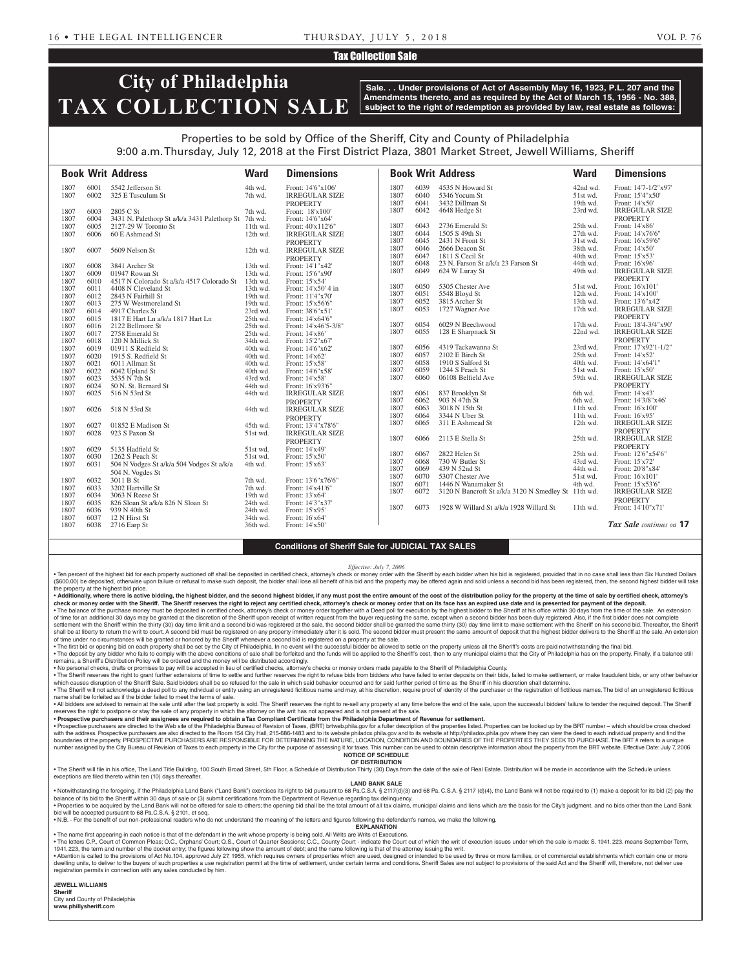#### Tax Collection Sale

# **City of Philadelphia TAX COLLECTION SALE**

**Sale. . . Under provisions of Act of Assembly May 16, 1923, P.L. 207 and the Amendments thereto, and as required by the Act of March 15, 1956 - No. 388, subject to the right of redemption as provided by law, real estate as follows:**

## Properties to be sold by Office of the Sheriff, City and County of Philadelphia

**Book Writ Address Ward Dimensions Book Writ Address Ward Dimensions** 9:00 a.m. Thursday, July 12, 2018 at the First District Plaza, 3801 Market Street, Jewell Williams, Sheriff 1807 6001 5542 Jefferson St 4th wd. Front: 14'6"x106'<br>1807 6002 325 E Tusculum St 7th wd. IRREGULAR SL 7th wd. **IRREGULAR SIZE** PROPERTY 1807 6003 2805 C St 7th wd. Front: 18'x100' 1807 6004 3431 N. Palethorp St a/k/a 3431 Palethorp St 7th wd. Front: 14'6"x64' 1807 6005 2127-29 W Toronto St 11th wd.<br>1807 6006 60 E Ashmead St 12th wd. IRREGULAR SIZE PROPERTY 1807 6007 5609 Nelson St 12th wd. IRREGULAR SIZE PROPERTY 1807 6008 3841 Archer St 13th wd. Front: 14'1"x42' 01947 Rowan St 1807 6010 4517 N Colorado St a/k/a 4517 Colorado St 13th wd. Front: 15'x54' 1807 6011 4408 N Cleveland St 13th wd. Front: 14'x50' 4<br>1807 6012 2843 N Fairhill St 19th wd. Front: 11'4"x70' 1807 6012 2843 N Fairhill St 19th wd. Front: 11'4"x70' 1807 6013 275 W Westmoreland St 19th wd. Front: 15'x56'6" 1807 Charles St 23rd wd.<br>
1817 E Hart Ln a/k/a 1817 Hart Ln 25th wd. 1807 6015 1817 E Hart Ln a/k/a 1817 Hart Ln 25th wd. Front: 14'x64'6" 1807 6016 2122 Bellmore St 25th wd. Front: 14'x46'5-3/8" 1807 6017 2758 Emerald St 25th wd. Front: 14'x86' 1807 6018 120 N Millick St 34th wd. 1807 6019 01911 S Redfield St 40th wd. Front: 14'6"x62' 1807 6020 1915 S. Redfield St 40th wd. Front: 14'x62' 40th wd. Front: 14'x62' 40th wd. Front: 15'x58' 1807 6021 6011 Allman St 40th wd. Front: 15'x58' 1807 6022 6042 Upland St 40th wd.<br>1807 6023 3535 N 7th St 43rd wd. 1807 6023 5535 N 7th St 6024 50 N. St. Bernard St 6024 50 N. St. Bernard St 6024 50 N. St. Bernard St 1807 6024 50 N. St. Bernard St 44th wd.<br>1807 6025 516 N 53rd St 44th wd. IRREGULAR SIZE PROPERTY 1807 6026 518 N 53rd St 44th wd. IRREGULAR SIZE PROPERTY<br>Front: 13'4"x78'6" 1807 6027 01852 E Madison St 45th wd.<br>1807 6028 923 S Paxon St 51st wd. **IRREGULAR SIZE** PROPERTY<br>Front: 14'x49' 1807 6029 5135 Hadfield St 51st wd. Front: 14'x49'<br>1807 6030 1262 S Peach St 51st wd. Front: 15'x50' 1262 S Peach St 1807 6031 504 N Vodges St a/k/a 504 Vodges St a/k/a 504 N. Vogdes St 4th wd. Front: 15'x63' 1807 6032 3011 B St 7th wd. Front: 13'6"x76'6" 1807 6033 3202 Hartville St 7th wd. Front: 14'x41'6"<br>1807 6034 3063 N Reese St 19th wd. Front: 13'x64' 1807 6034 3063 N Reese St 19th wd. Front: 13'x64' 1807 6035 826 Sloan St a/k/a 826 N Sloan St 24th wd. 1807 6036 939 N 40th St 24th wd. Front: 15'x95' 1807 6037 12 N Hirst St 34th wd. Front: 16'x64'<br>1807 6038 2716 Earn St 36th wd. Front: 14'x50' 2716 Earp St 1807 6039 4535 N Howard St 42nd wd. Front: 14'7-1/2"x97'<br>1807 6040 5346 Yocum St 51st wd. Front: 15'4"x50' 1807 6040 5346 Yocum St 51st wd. Front: 15'4"x50' 1807 6041 3432 Dillman St 19th wd.<br>1807 6042 4648 Hedge St 23rd wd. IRREGULAR SIZE PROPERTY<br>Front: 14'x86 1807 6043 2736 Emerald St 25th wd.<br>1807 6044 1505 S 49th St 27th wd. 1807 6044 1505 S 49th St 27th wd. Front: 14'x76'6" 1807 6045 2431 N Front St 31st wd. Front: 16'x59'6' 1807 6046 2666 Deacon St 38th wd. Front: 14'x50' 1807 6047 1811 S Cecil St 40th wd. Front: 15'x53<br>1807 6048 23 N. Farson St a/k/a 23 Farson St 44th wd. Front: 16'x96 1807 6048 23 N. Farson St a/k/a 23 Farson St 44th wd.<br>1807 6049 624 W Luray St 49th wd. IRREGULAR SIZE **PROPERTY** 1807 6050 5305 Chester Ave 51st wd. Front: 16'x101 1807 6051 5548 Bloyd St 12th wd. Front: 14'x100' 1807 6052 3815 Archer St 13th wd. Front: 13'6"x42' 1807 6053 1727 Wagner Ave 17th wd. IRREGULAR SIZE PROPERTY 1807 6054 6029 N Beechwood<br>1807 6055 128 E Sharpnack St 22nd wd. IRREGULAR SIZE 1807 6055 128 E Sharpnack St 22nd wd. PROPERTY<br>Front: 17'x92'1-1/2" 1807 6056 4319 Tackawanna St 23rd wd. Front: 17'x92'<br>1807 6057 2102 E Birch St 25th wd. Front: 14'x52' 1807 6057 2102 E Birch St 25th wd.<br>1807 6058 1910 S Salford St 40th wd. Front: 14'x64'1'<br>Front: 15'x50' 1807 6059 1244 S Peach St 51st wd. 1807 6060 06108 Belfield Ave 59th wd. IRREGULAR SIZE PROPERTY<br>Front: 14'x43' 1807 6061 837 Brooklyn St 6th wd.<br>1807 6062 903 N 47th St 6th wd. 1807 6062 903 N 47th St 6th wd. Front: 14'3/8"x46'<br>1807 6063 3018 N 15th St 11th wd. Front: 16'x100' 6063 3018 N 15th St 11th wd. Front: 16'x100'<br>6064 3344 N Uber St 11th wd. Front: 16'x95' 1807 6064 3344 N Uber St 11th wd. Front: 16'x95<br>1807 6065 311 E Ashmead St 12th wd. IRREGULAE IRREGULAR SIZE PROPERTY 1807 6066 2113 E Stella St 25th wd. IRREGULAR SIZE PROPERTY 1807 6067 2822 Helen St 25th wd. Front: 12'6"x54'6"<br>1807 6068 730 W Butler St 43rd wd. Front: 15'x72' 1807 6068 730 W Butler St 43rd wd. 1807 6069 439 N 52nd St 44th wd. Front: 20'8"x84' 1807 6070 5307 Chester Ave 51st wd. Front: 16'x101' 1807 6071 1446 N Wanamaker St 4th wd. Front: 15'x53'6' 1807 6071 1446 N Wanamaker St 4th wd. Front: 15'x53'6"<br>1807 6072 3120 N Bancroft St a/k/a 3120 N Smedlev St 11th wd. IRREGULAR SIZE 3120 N Bancroft St a/k/a 3120 N Smedley St 11th wd. PROPERTY<br>Front: 14'10"x71' 1807 6073 1928 W Willard St a/k/a 1928 Willard St 11th wd. *Tax Sale continues on* **17**

### **Conditions of Sheriff Sale for JUDICIAL TAX SALES**

*Effective: July 7, 2006*

. Ten percent of the highest bid for each property auctioned off shall be deposited in certified check, attorney's check or money order with the Sheriff by each bidder when his bid is registered, provided that in no case s (\$600.00) be deposited, otherwise upon failure or refusal to make such deposit, the bidder shall lose all benefit of his bid and the property may be offered again and sold unless a second bid has been registered, then, the the property at the highest bid price.

. Additionally, where there is active bidding, the highest bidder, and the second highest bidder, if any must post the entire amount of the cost of the distribution policy for the property at the time of sale by certified check or money order with the Sheriff. The Sheriff reserves the right to reject any certified check, attorney's check or money order that on its face has an expired use date and is presented for payment of the deposit.

. The balance of the purchase money must be deposited in certified check, attorney's check or money order together with a Deed poll for execution by the highest bidder to the Sheriff at his office within 30 days from the t of time for an additional 30 days may be granted at the discretion of the Sheriff upon receipt of written request from the buyer requesting the same, except when a second bidder has been duly registered. Also, if the first

settlement with the Sheriff within the thirty (30) day time limit and a second bid was registered at the sale, the second bidder shall be granted the same thirty (30) day time limit to make settlement with the Sheriff on h shall be at liberty to return the writ to court. A second bid must be registered on any property immediately after it is sold. The second bidder must present the same amount of deposit that the highest bidder delivers to t of time under no circumstances will be granted or honored by the Sheriff whenever a second bid is registered on a property at the sale. The first bid or opening bid on each property shall be set by the City of Philadelphia. In no event will the successful bidder be allowed to settle on the property unless all the Sheriff's costs are paid notwithstanding th

. The deposit by any bidder who fails to comply with the above conditions of sale shall be forfeited and the funds will be applied to the Sheriff's cost, then to any municipal claims that the City of Philadelphia has on th remains, a Sheriff's Distribution Policy will be ordered and the money will be distributed accordingly.

• No personal checks, drafts or promises to pay will be accepted in lieu of certified checks, attorney's checks or money orders made payable to the Sheriff of Philadelphia County.

. The Sheriff reserves the right to grant further extensions of time to settle and further reserves the right to refuse bids from bidders who have failed to enter deposits on their bids, failed to make settlement, or make which causes disruption of the Sheriff Sale. Said bidders shall be so refused for the sale in which said behavior occurred and for said further period of time as the Sheriff in his discretion shall determine. • The Sheriff will not acknowledge a deed poll to any individual or entity using an unregistered fictitious name and may, at his discretion, require proof of identity of the purchaser or the registration of fictitious name

name shall be forfeited as if the bidder failed to meet the terms of sale. . All bidders are advised to remain at the sale until after the last property is sold. The Sheriff reserves the right to re-sell any property at any time before the end of the sale, upon the successful bidders' failure to

reserves the right to postpone or stay the sale of any property in which the attorney on the writ has not appeared and is not present at the sale. • **Prospective purchasers and their assignees are required to obtain a Tax Compliant Certificate from the Philadelphia Department of Revenue for settlement.**

Prospective purchasers are directed to the Web site of the Philadelphia Bureau of Revision of Taxes, (BRT) brtweb.phila.gov for a fuller description of the properties listed. Properties can be looked up by the BRT number with the address. Prospective purchasers are also directed to the Room 154 City Hall. 215-686-1483 and to its website philadox.phila.gov and to its website at http://philadox.phila.gov where they can view the deed to each boundaries of the property. PROSPECTIVE PURCHASERS ARE RESPONSIBLE FOR DETERMINING THE NATURE, LOCATION, CONDITION AND BOUNDARIES OF THE PROPERTIES THEY SEEK TO PURCHASE. The BRT # refers to a unique number assigned by the City Bureau of Revision of Taxes to each property in the City for the purpose of assessing it for taxes. This number can be used to obtain descriptive information about the property from the BRT webs **NOTICE OF SCHEDULE**

## **OF DISTRIBUTION**

. The Sheriff will file in his office, The Land Title Building, 100 South Broad Street, 5th Floor, a Schedule of Distribution Thirty (30) Days from the date of the sale of Real Estate. Distribution will be made in accordan exceptions are filed thereto within ten (10) days thereafter.

#### **LAND BANK SALE**

• Notwithstanding the foregoing, if the Philadelphia Land Bank ("Land Bank") exercises its right to bid pursuant to 68 Pa.C.S.A. § 2117(d)(3) and 68 Pa.C.S.A. § 2117 (d)(4), the Land Bank will not be required to (1) make a balance of its bid to the Sheriff within 30 days of sale or (3) submit certifications from the Department of Revenue regarding tax delinquency. • Properties to be acquired by the Land Bank will not be offered for sale to others; the opening bid shall be the total amount of all tax claims, municipal claims and liens which are the basis for the City's judgment, and

bid will be accepted pursuant to 68 Pa.C.S.A. § 2101, et seq. • N.B. - For the benefit of our non-professional readers who do not understand the meaning of the letters and figures following the defendant's names, we make the following.

**EXPLANATION** 

• The name first appearing in each notice is that of the defendant in the writ whose property is being sold. All Writs are Writs of Executions.

. The letters C.P., Court of Common Pleas; O.C., Orphans' Court; Q.S., Court of Quarter Sessions; C.C., County Court - indicate the Court out of which the writ of execution issues under which the sale is made: S. 1941. 223 1941. 223, the term and number of the docket entry; the figures following show the amount of debt; and the name following is that of the attorney issuing the writ.

• Attention is called to the provisions of Act No.104, approved July 27, 1955, which requires owners of properties which are used, designed or intended to be used by three or more families, or of commercial establishments dwelling units, to deliver to the buyers of such properties a use registration permit at the time of settlement, under certain terms and conditions. Sheriff Sales are not subject to provisions of the said Act and the Sheri registration permits in connection with any sales conducted by him.

#### **JEWELL WILLIAMS**

**Sheriff**  City and County of Philadelphia **www.phillysheriff.com**